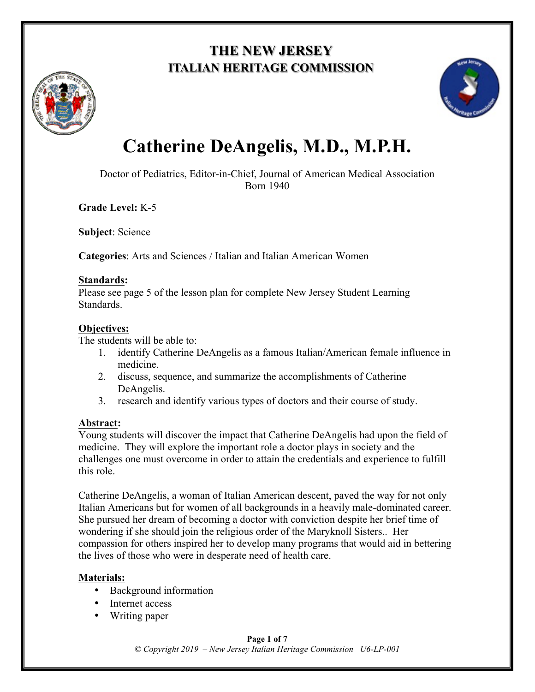## **THE NEW JERSEY ITALIAN HERITAGE COMMISSION**





# **Catherine DeAngelis, M.D., M.P.H.**

Doctor of Pediatrics, Editor-in-Chief, Journal of American Medical Association Born 1940

**Grade Level:** K-5

**Subject**: Science

**Categories**: Arts and Sciences / Italian and Italian American Women

#### **Standards:**

Please see page 5 of the lesson plan for complete New Jersey Student Learning Standards.

#### **Objectives:**

The students will be able to:

- 1. identify Catherine DeAngelis as a famous Italian/American female influence in medicine.
- 2. discuss, sequence, and summarize the accomplishments of Catherine DeAngelis.
- 3. research and identify various types of doctors and their course of study.

#### **Abstract:**

Young students will discover the impact that Catherine DeAngelis had upon the field of medicine. They will explore the important role a doctor plays in society and the challenges one must overcome in order to attain the credentials and experience to fulfill this role.

Catherine DeAngelis, a woman of Italian American descent, paved the way for not only Italian Americans but for women of all backgrounds in a heavily male-dominated career. She pursued her dream of becoming a doctor with conviction despite her brief time of wondering if she should join the religious order of the Maryknoll Sisters.. Her compassion for others inspired her to develop many programs that would aid in bettering the lives of those who were in desperate need of health care.

#### **Materials:**

- Background information
- Internet access
- Writing paper

#### **Page 1 of 7** *© Copyright 2019 – New Jersey Italian Heritage Commission U6-LP-001*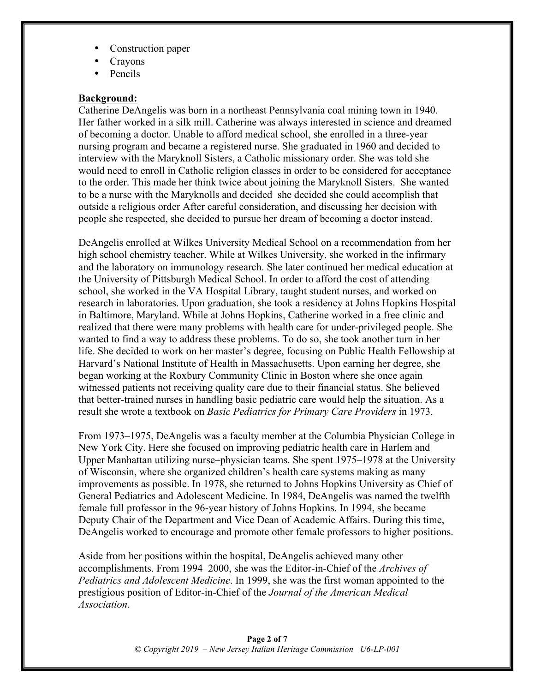- Construction paper
- Crayons
- Pencils

#### **Background:**

Catherine DeAngelis was born in a northeast Pennsylvania coal mining town in 1940. Her father worked in a silk mill. Catherine was always interested in science and dreamed of becoming a doctor. Unable to afford medical school, she enrolled in a three-year nursing program and became a registered nurse. She graduated in 1960 and decided to interview with the Maryknoll Sisters, a Catholic missionary order. She was told she would need to enroll in Catholic religion classes in order to be considered for acceptance to the order. This made her think twice about joining the Maryknoll Sisters. She wanted to be a nurse with the Maryknolls and decided she decided she could accomplish that outside a religious order After careful consideration, and discussing her decision with people she respected, she decided to pursue her dream of becoming a doctor instead.

DeAngelis enrolled at Wilkes University Medical School on a recommendation from her high school chemistry teacher. While at Wilkes University, she worked in the infirmary and the laboratory on immunology research. She later continued her medical education at the University of Pittsburgh Medical School. In order to afford the cost of attending school, she worked in the VA Hospital Library, taught student nurses, and worked on research in laboratories. Upon graduation, she took a residency at Johns Hopkins Hospital in Baltimore, Maryland. While at Johns Hopkins, Catherine worked in a free clinic and realized that there were many problems with health care for under-privileged people. She wanted to find a way to address these problems. To do so, she took another turn in her life. She decided to work on her master's degree, focusing on Public Health Fellowship at Harvard's National Institute of Health in Massachusetts. Upon earning her degree, she began working at the Roxbury Community Clinic in Boston where she once again witnessed patients not receiving quality care due to their financial status. She believed that better-trained nurses in handling basic pediatric care would help the situation. As a result she wrote a textbook on *Basic Pediatrics for Primary Care Providers* in 1973.

From 1973–1975, DeAngelis was a faculty member at the Columbia Physician College in New York City. Here she focused on improving pediatric health care in Harlem and Upper Manhattan utilizing nurse–physician teams. She spent 1975–1978 at the University of Wisconsin, where she organized children's health care systems making as many improvements as possible. In 1978, she returned to Johns Hopkins University as Chief of General Pediatrics and Adolescent Medicine. In 1984, DeAngelis was named the twelfth female full professor in the 96-year history of Johns Hopkins. In 1994, she became Deputy Chair of the Department and Vice Dean of Academic Affairs. During this time, DeAngelis worked to encourage and promote other female professors to higher positions.

Aside from her positions within the hospital, DeAngelis achieved many other accomplishments. From 1994–2000, she was the Editor-in-Chief of the *Archives of Pediatrics and Adolescent Medicine*. In 1999, she was the first woman appointed to the prestigious position of Editor-in-Chief of the *Journal of the American Medical Association*.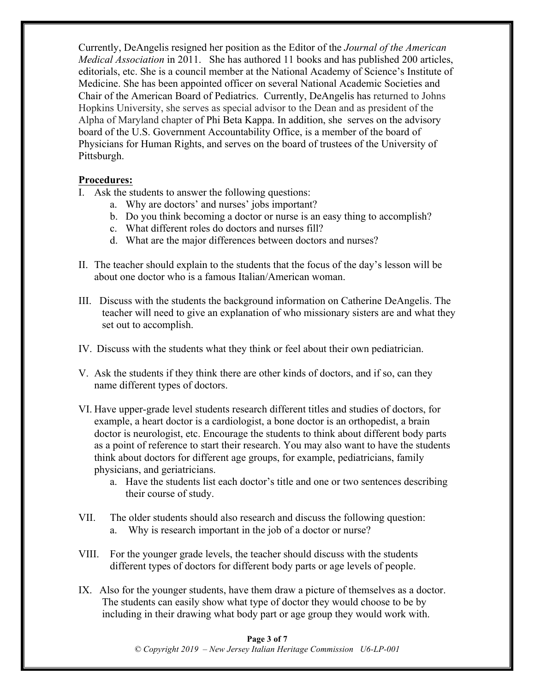Currently, DeAngelis resigned her position as the Editor of the *Journal of the American Medical Association* in 2011. She has authored 11 books and has published 200 articles, editorials, etc. She is a council member at the National Academy of Science's Institute of Medicine. She has been appointed officer on several National Academic Societies and Chair of the American Board of Pediatrics. Currently, DeAngelis has returned to Johns Hopkins University, she serves as special advisor to the Dean and as president of the Alpha of Maryland chapter of Phi Beta Kappa. In addition, she serves on the advisory board of the U.S. Government Accountability Office, is a member of the board of Physicians for Human Rights, and serves on the board of trustees of the University of Pittsburgh.

#### **Procedures:**

- I. Ask the students to answer the following questions:
	- a. Why are doctors' and nurses' jobs important?
	- b. Do you think becoming a doctor or nurse is an easy thing to accomplish?
	- c. What different roles do doctors and nurses fill?
	- d. What are the major differences between doctors and nurses?
- II. The teacher should explain to the students that the focus of the day's lesson will be about one doctor who is a famous Italian/American woman.
- III. Discuss with the students the background information on Catherine DeAngelis. The teacher will need to give an explanation of who missionary sisters are and what they set out to accomplish.
- IV. Discuss with the students what they think or feel about their own pediatrician.
- V. Ask the students if they think there are other kinds of doctors, and if so, can they name different types of doctors.
- VI. Have upper-grade level students research different titles and studies of doctors, for example, a heart doctor is a cardiologist, a bone doctor is an orthopedist, a brain doctor is neurologist, etc. Encourage the students to think about different body parts as a point of reference to start their research. You may also want to have the students think about doctors for different age groups, for example, pediatricians, family physicians, and geriatricians.
	- a. Have the students list each doctor's title and one or two sentences describing their course of study.
- VII. The older students should also research and discuss the following question: a. Why is research important in the job of a doctor or nurse?
- VIII. For the younger grade levels, the teacher should discuss with the students different types of doctors for different body parts or age levels of people.
- IX. Also for the younger students, have them draw a picture of themselves as a doctor. The students can easily show what type of doctor they would choose to be by including in their drawing what body part or age group they would work with.

**Page 3 of 7** *© Copyright 2019 – New Jersey Italian Heritage Commission U6-LP-001*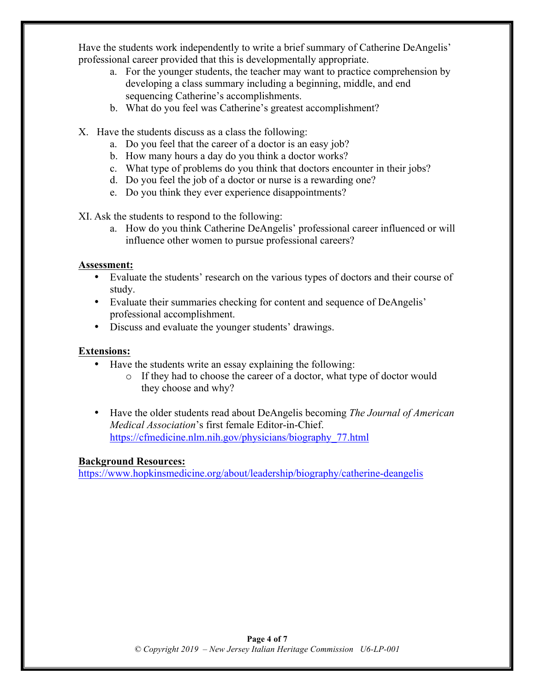Have the students work independently to write a brief summary of Catherine DeAngelis' professional career provided that this is developmentally appropriate.

- a. For the younger students, the teacher may want to practice comprehension by developing a class summary including a beginning, middle, and end sequencing Catherine's accomplishments.
- b. What do you feel was Catherine's greatest accomplishment?
- X. Have the students discuss as a class the following:
	- a. Do you feel that the career of a doctor is an easy job?
	- b. How many hours a day do you think a doctor works?
	- c. What type of problems do you think that doctors encounter in their jobs?
	- d. Do you feel the job of a doctor or nurse is a rewarding one?
	- e. Do you think they ever experience disappointments?

XI. Ask the students to respond to the following:

a. How do you think Catherine DeAngelis' professional career influenced or will influence other women to pursue professional careers?

#### **Assessment:**

- Evaluate the students' research on the various types of doctors and their course of study.
- Evaluate their summaries checking for content and sequence of DeAngelis' professional accomplishment.
- Discuss and evaluate the younger students' drawings.

#### **Extensions:**

- Have the students write an essay explaining the following:
	- o If they had to choose the career of a doctor, what type of doctor would they choose and why?
- Have the older students read about DeAngelis becoming *The Journal of American Medical Association*'s first female Editor-in-Chief. https://cfmedicine.nlm.nih.gov/physicians/biography\_77.html

#### **Background Resources:**

https://www.hopkinsmedicine.org/about/leadership/biography/catherine-deangelis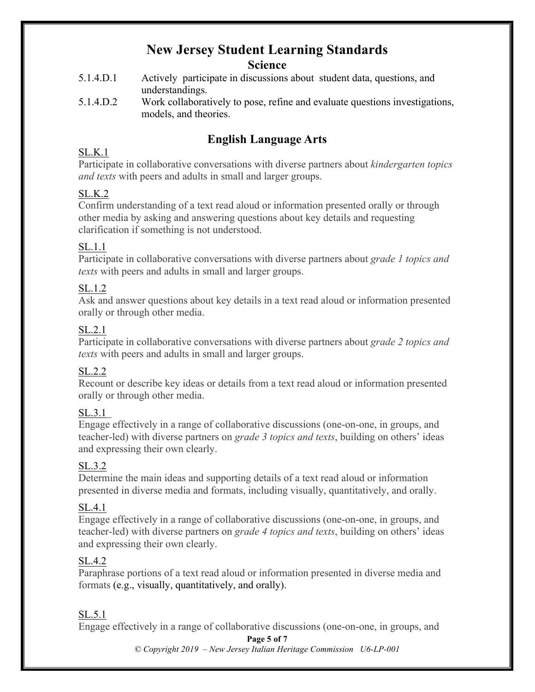# **New Jersey Student Learning Standards**

#### **Science**

- 5.1.4.D.1 Actively participate in discussions about student data, questions, and understandings.
- 5.1.4.D.2 Work collaboratively to pose, refine and evaluate questions investigations, models, and theories.

## **English Language Arts**

### SL.K.1

Participate in collaborative conversations with diverse partners about *kindergarten topics and texts* with peers and adults in small and larger groups.

#### SL.K.2

Confirm understanding of a text read aloud or information presented orally or through other media by asking and answering questions about key details and requesting clarification if something is not understood.

#### SL.1.1

Participate in collaborative conversations with diverse partners about *grade 1 topics and texts* with peers and adults in small and larger groups.

#### SL.1.2

Ask and answer questions about key details in a text read aloud or information presented orally or through other media.

#### SL.2.1

Participate in collaborative conversations with diverse partners about *grade 2 topics and texts* with peers and adults in small and larger groups.

#### SL.2.2

Recount or describe key ideas or details from a text read aloud or information presented orally or through other media.

#### SL.3.1

Engage effectively in a range of collaborative discussions (one-on-one, in groups, and teacher-led) with diverse partners on *grade 3 topics and texts*, building on others' ideas and expressing their own clearly.

#### SL.3.2

Determine the main ideas and supporting details of a text read aloud or information presented in diverse media and formats, including visually, quantitatively, and orally.

#### SL.4.1

Engage effectively in a range of collaborative discussions (one-on-one, in groups, and teacher-led) with diverse partners on *grade 4 topics and texts*, building on others' ideas and expressing their own clearly.

#### SL.4.2

Paraphrase portions of a text read aloud or information presented in diverse media and formats (e.g., visually, quantitatively, and orally).

#### SL.5.1

Engage effectively in a range of collaborative discussions (one-on-one, in groups, and

#### **Page 5 of 7**

*© Copyright 2019 – New Jersey Italian Heritage Commission U6-LP-001*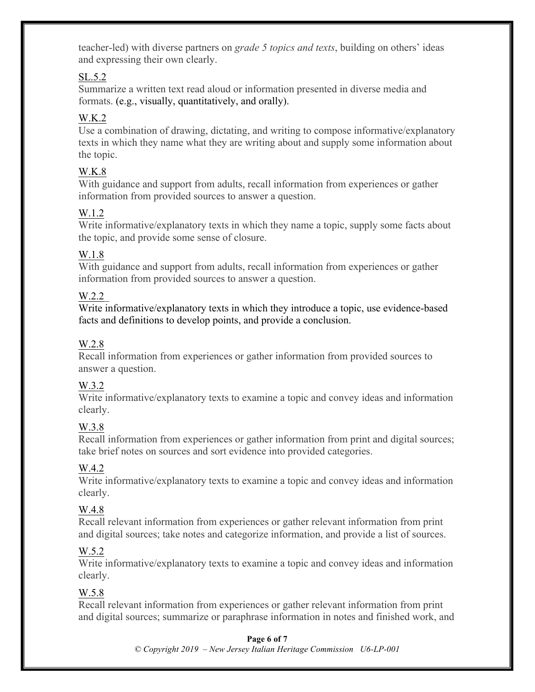teacher-led) with diverse partners on *grade 5 topics and texts*, building on others' ideas and expressing their own clearly.

#### SL.5.2

Summarize a written text read aloud or information presented in diverse media and formats. (e.g., visually, quantitatively, and orally).

## W.K.2

Use a combination of drawing, dictating, and writing to compose informative/explanatory texts in which they name what they are writing about and supply some information about the topic.

## W.K.8

With guidance and support from adults, recall information from experiences or gather information from provided sources to answer a question.

## W.1.2

Write informative/explanatory texts in which they name a topic, supply some facts about the topic, and provide some sense of closure.

#### W.1.8

With guidance and support from adults, recall information from experiences or gather information from provided sources to answer a question.

#### W.2.2

Write informative/explanatory texts in which they introduce a topic, use evidence-based facts and definitions to develop points, and provide a conclusion.

### W.2.8

Recall information from experiences or gather information from provided sources to answer a question.

#### W.3.2

Write informative/explanatory texts to examine a topic and convey ideas and information clearly.

## W.3.8

Recall information from experiences or gather information from print and digital sources; take brief notes on sources and sort evidence into provided categories.

## W.4.2

Write informative/explanatory texts to examine a topic and convey ideas and information clearly.

#### W.4.8

Recall relevant information from experiences or gather relevant information from print and digital sources; take notes and categorize information, and provide a list of sources.

#### W.5.2

Write informative/explanatory texts to examine a topic and convey ideas and information clearly.

## W.5.8

Recall relevant information from experiences or gather relevant information from print and digital sources; summarize or paraphrase information in notes and finished work, and

#### **Page 6 of 7**

*© Copyright 2019 – New Jersey Italian Heritage Commission U6-LP-001*